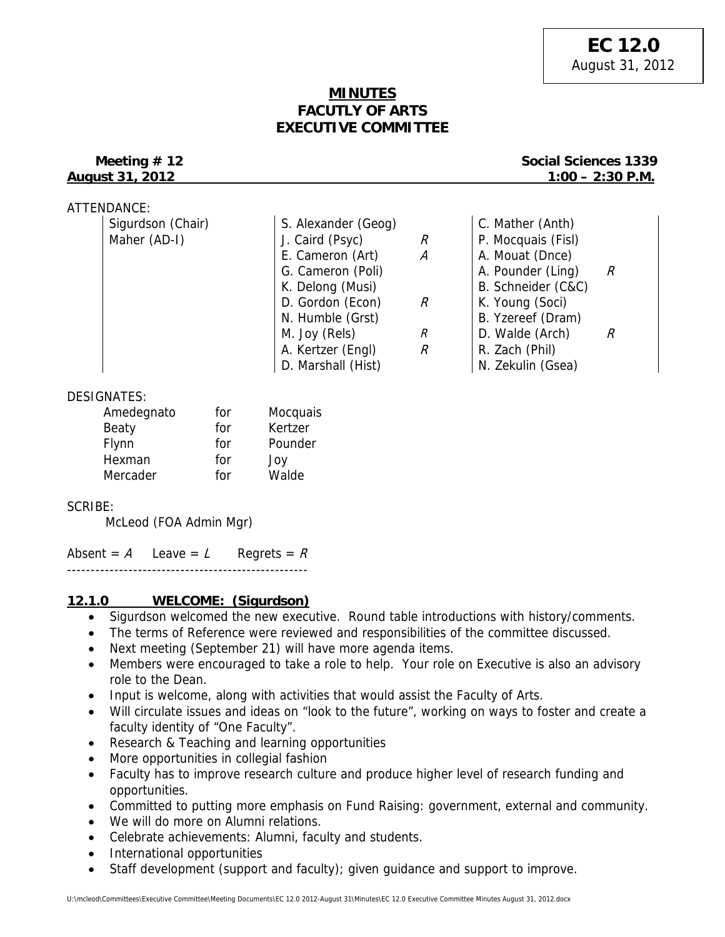# **MINUTES FACUTLY OF ARTS EXECUTIVE COMMITTEE**

## **Meeting # 12** Social Sciences 1339 **August 31, 2012 1:00 – 2:30 P.M.**

| ATTENDANCE:       |                     |   |                    |   |
|-------------------|---------------------|---|--------------------|---|
| Sigurdson (Chair) | S. Alexander (Geog) |   | C. Mather (Anth)   |   |
| Maher (AD-I)      | J. Caird (Psyc)     | R | P. Mocquais (Fisl) |   |
|                   | E. Cameron (Art)    | А | A. Mouat (Dnce)    |   |
|                   | G. Cameron (Poli)   |   | A. Pounder (Ling)  | R |
|                   | K. Delong (Musi)    |   | B. Schneider (C&C) |   |
|                   | D. Gordon (Econ)    | R | K. Young (Soci)    |   |
|                   | N. Humble (Grst)    |   | B. Yzereef (Dram)  |   |
|                   | M. Joy (Rels)       | R | D. Walde (Arch)    | R |
|                   | A. Kertzer (Engl)   | R | R. Zach (Phil)     |   |
|                   | D. Marshall (Hist)  |   | N. Zekulin (Gsea)  |   |

# DESIGNATES:

| Amedegnato | for | Mocquais |
|------------|-----|----------|
| Beaty      | for | Kertzer  |
| Flynn      | for | Pounder  |
| Hexman     | for | Joy      |
| Mercader   | for | Walde    |

## SCRIBE:

McLeod (FOA Admin Mgr)

Absent =  $A$  Leave =  $L$  Regrets =  $R$ 

### ---------------------------------------------------

# **12.1.0 WELCOME: (Sigurdson)**

- Sigurdson welcomed the new executive. Round table introductions with history/comments.
- The terms of Reference were reviewed and responsibilities of the committee discussed.
- Next meeting (September 21) will have more agenda items.
- Members were encouraged to take a role to help. Your role on Executive is also an advisory role to the Dean.
- Input is welcome, along with activities that would assist the Faculty of Arts.
- Will circulate issues and ideas on "look to the future", working on ways to foster and create a faculty identity of "One Faculty".
- Research & Teaching and learning opportunities
- More opportunities in collegial fashion
- Faculty has to improve research culture and produce higher level of research funding and opportunities.
- Committed to putting more emphasis on Fund Raising: government, external and community.
- We will do more on Alumni relations.
- Celebrate achievements: Alumni, faculty and students.
- International opportunities
- Staff development (support and faculty); given guidance and support to improve.